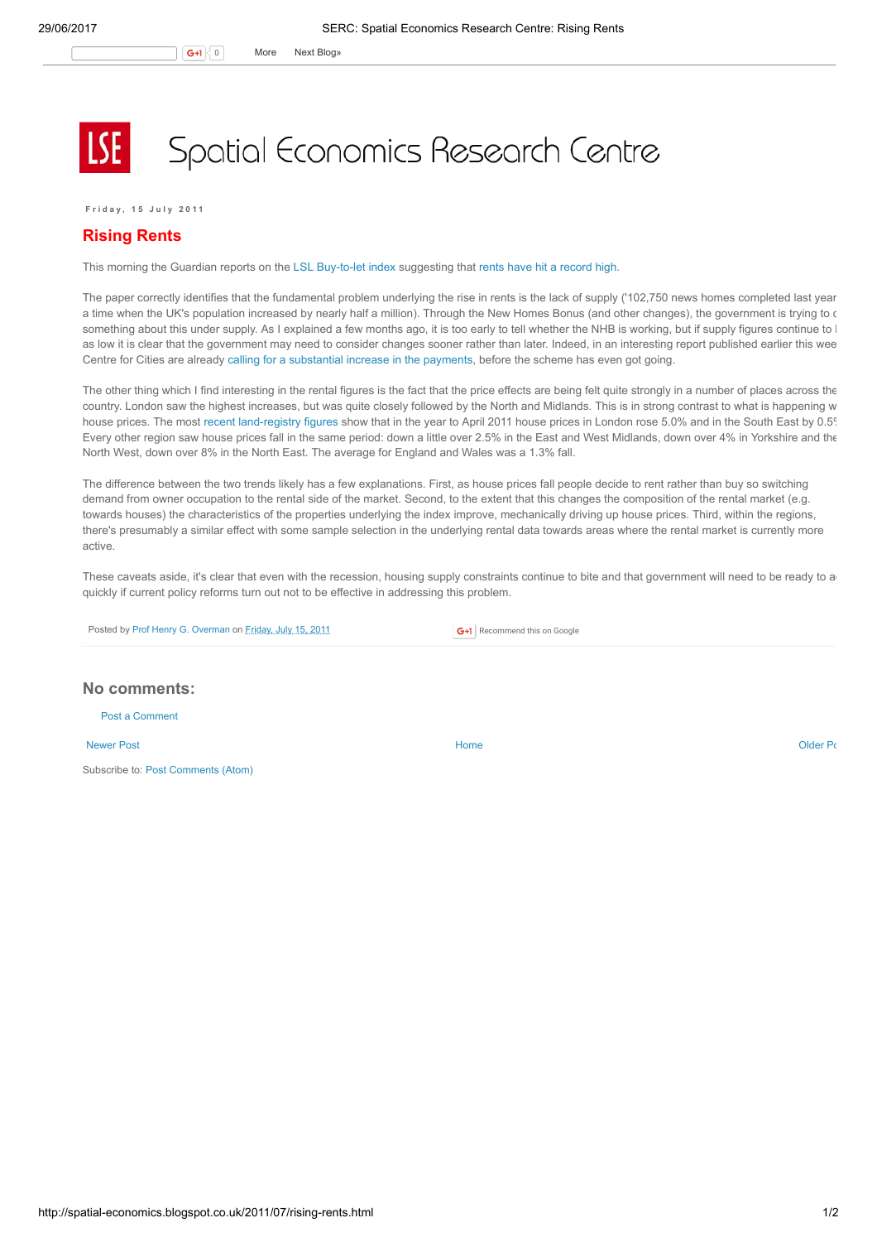## Spatial Economics Research Centre

F r i d a y , 1 5 J u l y 2 0 1 1

## Rising Rents

This morning the Guardian reports on the LSL [Buy-to-let](http://www.lslps.co.uk/documents/buy_to_let_index_jun11.pdf) index suggesting that rents have hit a [record](http://www.guardian.co.uk/money/2011/jul/15/rents-record-high-housing-demand) high.

The paper correctly identifies that the fundamental problem underlying the rise in rents is the lack of supply ('102,750 news homes completed last year a time when the UK's population increased by nearly half a million). Through the New Homes Bonus (and other changes), the government is trying to c something about this under supply. As I explained a few months ago, it is too early to tell whether the NHB is working, but if supply figures continue to I as low it is clear that the government may need to consider changes sooner rather than later. Indeed, in an interesting report published earlier this wee Centre for Cities are already calling for a [substantial](http://www.centreforcities.org/roomforimprovement.html) increase in the payments, before the scheme has even got going.

The other thing which I find interesting in the rental figures is the fact that the price effects are being felt quite strongly in a number of places across the country. London saw the highest increases, but was quite closely followed by the North and Midlands. This is in strong contrast to what is happening w house prices. The most recent [land-registry](http://spatial-economics.blogspot.com/2011/06/london-still-getting-away-with-it-cont.html) figures show that in the year to April 2011 house prices in London rose 5.0% and in the South East by 0.5% Every other region saw house prices fall in the same period: down a little over 2.5% in the East and West Midlands, down over 4% in Yorkshire and the North West, down over 8% in the North East. The average for England and Wales was a 1.3% fall.

The difference between the two trends likely has a few explanations. First, as house prices fall people decide to rent rather than buy so switching demand from owner occupation to the rental side of the market. Second, to the extent that this changes the composition of the rental market (e.g. towards houses) the characteristics of the properties underlying the index improve, mechanically driving up house prices. Third, within the regions, there's presumably a similar effect with some sample selection in the underlying rental data towards areas where the rental market is currently more active.

These caveats aside, it's clear that even with the recession, housing supply constraints continue to bite and that government will need to be ready to a quickly if current policy reforms turn out not to be effective in addressing this problem.

Posted by Prof Henry G. [Overman](https://www.blogger.com/profile/15203876610491317062) on [Friday,](http://spatial-economics.blogspot.co.uk/2011/07/rising-rents.html) July 15, 2011

G+1 Recommend this on Google

## No comments:

Post a [Comment](https://www.blogger.com/comment.g?blogID=974562301377041914&postID=6426327822522103811)

[Newer](http://spatial-economics.blogspot.co.uk/2011/07/local-government-finance.html) Post **New Account Contract Account Contract Account Contract Account Contract Account Contract [Older](http://spatial-economics.blogspot.co.uk/2011/07/crime-nudge.html) Post** 

Subscribe to: Post [Comments](http://spatial-economics.blogspot.com/feeds/6426327822522103811/comments/default) (Atom)